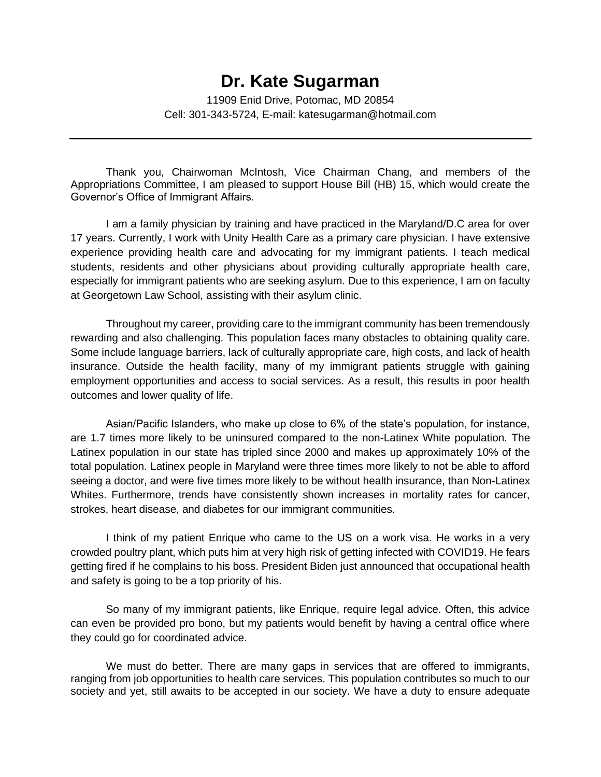## **Dr. Kate Sugarman**

11909 Enid Drive, Potomac, MD 20854 Cell: 301-343-5724, E-mail: katesugarman@hotmail.com

Thank you, Chairwoman McIntosh, Vice Chairman Chang, and members of the Appropriations Committee, I am pleased to support House Bill (HB) 15, which would create the Governor's Office of Immigrant Affairs.

I am a family physician by training and have practiced in the Maryland/D.C area for over 17 years. Currently, I work with Unity Health Care as a primary care physician. I have extensive experience providing health care and advocating for my immigrant patients. I teach medical students, residents and other physicians about providing culturally appropriate health care, especially for immigrant patients who are seeking asylum. Due to this experience, I am on faculty at Georgetown Law School, assisting with their asylum clinic.

Throughout my career, providing care to the immigrant community has been tremendously rewarding and also challenging. This population faces many obstacles to obtaining quality care. Some include language barriers, lack of culturally appropriate care, high costs, and lack of health insurance. Outside the health facility, many of my immigrant patients struggle with gaining employment opportunities and access to social services. As a result, this results in poor health outcomes and lower quality of life.

Asian/Pacific Islanders, who make up close to 6% of the state's population, for instance, are 1.7 times more likely to be uninsured compared to the non-Latinex White population. The Latinex population in our state has tripled since 2000 and makes up approximately 10% of the total population. Latinex people in Maryland were three times more likely to not be able to afford seeing a doctor, and were five times more likely to be without health insurance, than Non-Latinex Whites. Furthermore, trends have consistently shown increases in mortality rates for cancer, strokes, heart disease, and diabetes for our immigrant communities.

I think of my patient Enrique who came to the US on a work visa. He works in a very crowded poultry plant, which puts him at very high risk of getting infected with COVID19. He fears getting fired if he complains to his boss. President Biden just announced that occupational health and safety is going to be a top priority of his.

So many of my immigrant patients, like Enrique, require legal advice. Often, this advice can even be provided pro bono, but my patients would benefit by having a central office where they could go for coordinated advice.

We must do better. There are many gaps in services that are offered to immigrants, ranging from job opportunities to health care services. This population contributes so much to our society and yet, still awaits to be accepted in our society. We have a duty to ensure adequate